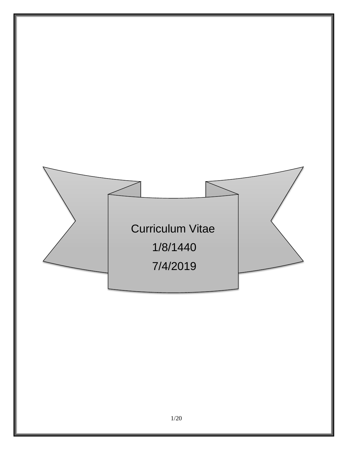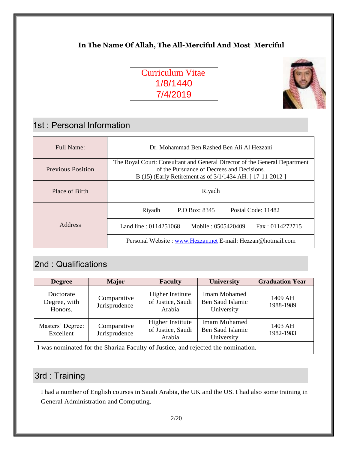### **In The Name Of Allah, The All-Merciful And Most Merciful**

| <b>Curriculum Vitae</b> |  |
|-------------------------|--|
| 1/8/1440                |  |
| 7/4/2019                |  |



# 1st : Personal Information

| Full Name:               | Dr. Mohammad Ben Rashed Ben Ali Al Hezzani                                                                                                                                           |  |  |
|--------------------------|--------------------------------------------------------------------------------------------------------------------------------------------------------------------------------------|--|--|
| <b>Previous Position</b> | The Royal Court: Consultant and General Director of the General Department<br>of the Pursuance of Decrees and Decisions.<br>B (15) (Early Retirement as of 3/1/1434 AH. [17-11-2012] |  |  |
| Place of Birth           | Riyadh                                                                                                                                                                               |  |  |
|                          | P.O. Box: 8345<br>Postal Code: 11482<br>Riyadh                                                                                                                                       |  |  |
| Address                  | Fax: 0114272715<br>Land line: 0114251068<br>Mobile: 0505420409                                                                                                                       |  |  |
|                          | Personal Website: www.Hezzan.net E-mail: Hezzan@hotmail.com                                                                                                                          |  |  |

### 2nd : Qualifications

| <b>Degree</b>                                                                    | <b>Major</b>                 | <b>Faculty</b>                                         | <b>University</b>                                     | <b>Graduation Year</b> |
|----------------------------------------------------------------------------------|------------------------------|--------------------------------------------------------|-------------------------------------------------------|------------------------|
| Doctorate<br>Degree, with<br>Honors.                                             | Comparative<br>Jurisprudence | <b>Higher Institute</b><br>of Justice, Saudi<br>Arabia | <b>Imam Mohamed</b><br>Ben Saud Islamic<br>University | 1409 AH<br>1988-1989   |
| Masters' Degree:<br>Excellent                                                    | Comparative<br>Jurisprudence | Higher Institute<br>of Justice, Saudi<br>Arabia        | Imam Mohamed<br>Ben Saud Islamic<br>University        | 1403 AH<br>1982-1983   |
| I was nominated for the Shariaa Faculty of Justice, and rejected the nomination. |                              |                                                        |                                                       |                        |

# 3rd : Training

I had a number of English courses in Saudi Arabia, the UK and the US. I had also some training in General Administration and Computing.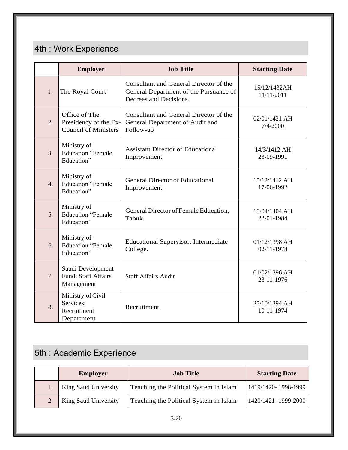# 4th : Work Experience

|                  | <b>Employer</b>                                                       | <b>Job Title</b>                                                                                           | <b>Starting Date</b>        |
|------------------|-----------------------------------------------------------------------|------------------------------------------------------------------------------------------------------------|-----------------------------|
| 1.               | The Royal Court                                                       | Consultant and General Director of the<br>General Department of the Pursuance of<br>Decrees and Decisions. | 15/12/1432AH<br>11/11/2011  |
| 2.               | Office of The<br>Presidency of the Ex-<br><b>Council of Ministers</b> | Consultant and General Director of the<br>General Department of Audit and<br>Follow-up                     | 02/01/1421 AH<br>7/4/2000   |
| 3.               | Ministry of<br><b>Education "Female</b><br>Education"                 | <b>Assistant Director of Educational</b><br>Improvement                                                    | 14/3/1412 AH<br>23-09-1991  |
| $\overline{4}$ . | Ministry of<br><b>Education "Female</b><br>Education"                 | <b>General Director of Educational</b><br>Improvement.                                                     | 15/12/1412 AH<br>17-06-1992 |
| 5 <sub>1</sub>   | Ministry of<br><b>Education "Female</b><br>Education"                 | General Director of Female Education,<br>Tabuk.                                                            | 18/04/1404 AH<br>22-01-1984 |
| 6.               | Ministry of<br><b>Education "Female</b><br>Education"                 | <b>Educational Supervisor: Intermediate</b><br>College.                                                    | 01/12/1398 AH<br>02-11-1978 |
| 7.               | Saudi Development<br><b>Fund: Staff Affairs</b><br>Management         | <b>Staff Affairs Audit</b>                                                                                 | 01/02/1396 AH<br>23-11-1976 |
| 8.               | Ministry of Civil<br>Services:<br>Recruitment<br>Department           | Recruitment                                                                                                | 25/10/1394 AH<br>10-11-1974 |

# 5th : Academic Experience

| <b>Employer</b>      | <b>Job Title</b>                       | <b>Starting Date</b> |
|----------------------|----------------------------------------|----------------------|
| King Saud University | Teaching the Political System in Islam | 1419/1420-1998-1999  |
| King Saud University | Teaching the Political System in Islam | 1420/1421-1999-2000  |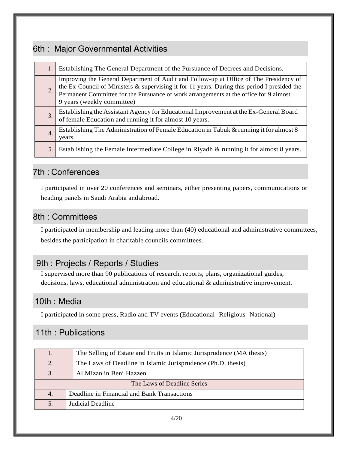### 6th : Major Governmental Activities

| Ι.             | Establishing The General Department of the Pursuance of Decrees and Decisions.                                                                                                                                                                                                                                |
|----------------|---------------------------------------------------------------------------------------------------------------------------------------------------------------------------------------------------------------------------------------------------------------------------------------------------------------|
| 2.             | Improving the General Department of Audit and Follow-up at Office of The Presidency of<br>the Ex-Council of Ministers & supervising it for 11 years. During this period I presided the<br>Permanent Committee for the Pursuance of work arrangements at the office for 9 almost<br>9 years (weekly committee) |
| 3.             | Establishing the Assistant Agency for Educational Improvement at the Ex-General Board<br>of female Education and running it for almost 10 years.                                                                                                                                                              |
| $\overline{4}$ | Establishing The Administration of Female Education in Tabuk & running it for almost 8<br>years.                                                                                                                                                                                                              |
| 5.             | Establishing the Female Intermediate College in Riyadh $\&$ running it for almost 8 years.                                                                                                                                                                                                                    |

### 7th : Conferences

I participated in over 20 conferences and seminars, either presenting papers, communications or heading panels in Saudi Arabia andabroad.

### 8th : Committees

I participated in membership and leading more than (40) educational and administrative committees, besides the participation in charitable councils committees.

### 9th : Projects / Reports / Studies

I supervised more than 90 publications of research, reports, plans, organizational guides, decisions, laws, educational administration and educational & administrative improvement.

### 10th : Media

I participated in some press, Radio and TV events (Educational- Religious- National)

### 11th : Publications

| 1.                          | The Selling of Estate and Fruits in Islamic Jurisprudence (MA thesis) |  |
|-----------------------------|-----------------------------------------------------------------------|--|
| 2.                          | The Laws of Deadline in Islamic Jurisprudence (Ph.D. thesis)          |  |
| 3.                          | Al Mizan in Beni Hazzen                                               |  |
| The Laws of Deadline Series |                                                                       |  |
| $\overline{4}$ .            | Deadline in Financial and Bank Transactions                           |  |
|                             | <b>Judicial Deadline</b>                                              |  |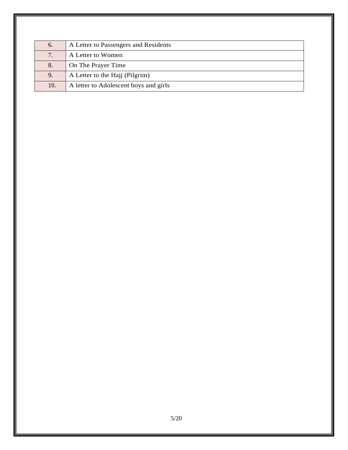| 6.  | A Letter to Passengers and Residents  |
|-----|---------------------------------------|
| 7.  | A Letter to Women                     |
| 8.  | On The Prayer Time                    |
| 9.  | A Letter to the Hajj (Pilgrim)        |
| 10. | A letter to Adolescent boys and girls |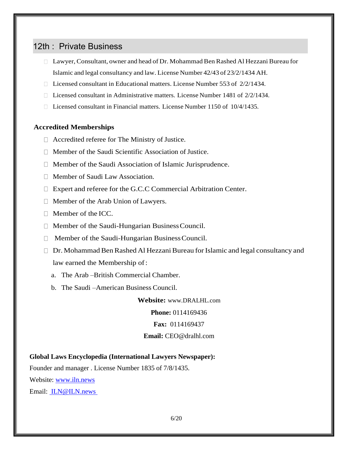### 12th : Private Business

- Lawyer, Consultant, owner and head of Dr. Mohammad Ben Rashed Al Hezzani Bureau for Islamic and legal consultancy and law. License Number 42/43 of 23/2/1434 AH.
- $\Box$  Licensed consultant in Educational matters. License Number 553 of 2/2/1434.
- $\Box$  Licensed consultant in Administrative matters. License Number 1481 of 2/2/1434.
- $\Box$  Licensed consultant in Financial matters. License Number 1150 of 10/4/1435.

### **Accredited Memberships**

- $\Box$  Accredited referee for The Ministry of Justice.
- $\Box$  Member of the Saudi Scientific Association of Justice.
- $\Box$  Member of the Saudi Association of Islamic Jurisprudence.
- □ Member of Saudi Law Association.
- Expert and referee for the G.C.C Commercial Arbitration Center.
- Member of the Arab Union of Lawyers.
- $\Box$  Member of the ICC.
- $\Box$  Member of the Saudi-Hungarian Business Council.
- Member of the Saudi-Hungarian BusinessCouncil.
- $\Box$  Dr. Mohammad Ben Rashed Al Hezzani Bureau for Islamic and legal consultancy and law earned the Membership of:
	- a. The Arab –British Commercial Chamber.
	- b. The Saudi –American Business Council.

**Website:** www.DRALHL.com

**Phone:** 0114169436

**Fax:** 0114169437

### **Email:** CEO@dralhl.com

#### **Global Laws Encyclopedia (International Lawyers Newspaper):**

Founder and manager . License Number 1835 of 7/8/1435.

Website: [www.iln.news](http://www.iln.news/)

Email: [ILN@ILN.news](mailto:%20ILN@ILN.news)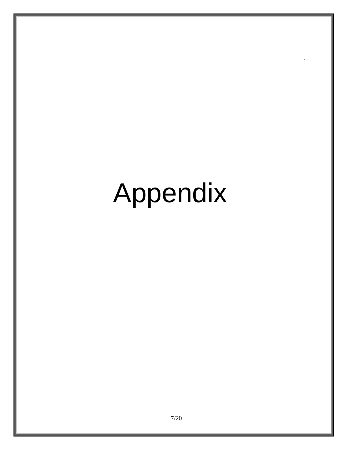# Appendix

*.*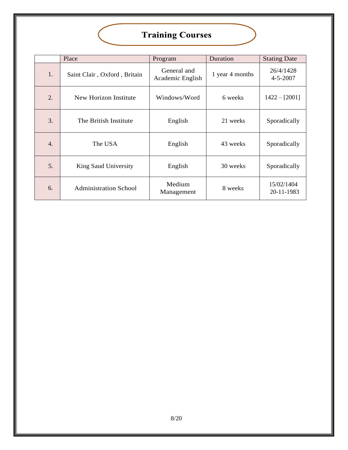# **Training Courses**

|    | Place                        | Program                         | Duration        | <b>Stating Date</b>         |
|----|------------------------------|---------------------------------|-----------------|-----------------------------|
| 1. | Saint Clair, Oxford, Britain | General and<br>Academic English | 1 year 4 months | 26/4/1428<br>$4 - 5 - 2007$ |
| 2. | New Horizon Institute        | Windows/Word                    | 6 weeks         | $1422 - [2001]$             |
| 3. | The British Institute        | English                         | 21 weeks        | Sporadically                |
| 4. | The USA                      | English                         | 43 weeks        | Sporadically                |
| 5. | King Saud University         | English                         | 30 weeks        | Sporadically                |
| 6. | <b>Administration School</b> | Medium<br>Management            | 8 weeks         | 15/02/1404<br>20-11-1983    |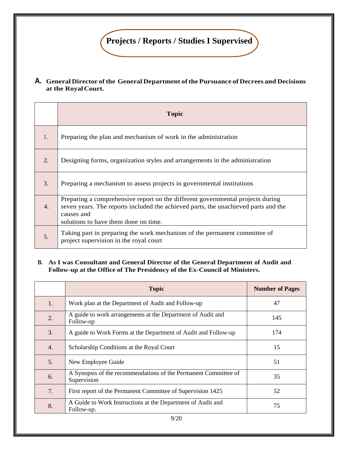## **Projects / Reports / Studies I Supervised**

### **A. General Director ofthe General Department ofthe Pursuance of Decrees and Decisions at the RoyalCourt.**

|                  | <b>Topic</b>                                                                                                                                                                                                               |
|------------------|----------------------------------------------------------------------------------------------------------------------------------------------------------------------------------------------------------------------------|
| 1.               | Preparing the plan and mechanism of work in the administration                                                                                                                                                             |
| 2.               | Designing forms, organization styles and arrangements in the administration                                                                                                                                                |
| 3.               | Preparing a mechanism to assess projects in governmental institutions                                                                                                                                                      |
| $\overline{4}$ . | Preparing a comprehensive report on the different governmental projects during<br>seven years. The reports included the achieved parts, the unachieved parts and the<br>causes and<br>solutions to have them done on time. |
| 5.               | Taking part in preparing the work mechanism of the permanent committee of<br>project supervision in the royal court                                                                                                        |

### **B. As I was Consultant and General Director of the General Department of Audit and Follow-up at the Office of The Presidency of the Ex-Council of Ministers.**

|    | <b>Topic</b>                                                                   | <b>Number of Pages</b> |
|----|--------------------------------------------------------------------------------|------------------------|
| 1. | Work plan at the Department of Audit and Follow-up                             | 47                     |
| 2. | A guide to work arrangements at the Department of Audit and<br>Follow-up       | 145                    |
| 3. | A guide to Work Forms at the Department of Audit and Follow-up                 | 174                    |
| 4. | Scholarship Conditions at the Royal Court                                      | 15                     |
| 5. | New Employee Guide                                                             | 51                     |
| 6. | A Synopsis of the recommendations of the Permanent Committee of<br>Supervision | 35                     |
| 7. | First report of the Permanent Committee of Supervision 1425                    | 52                     |
| 8. | A Guide to Work Instructions at the Department of Audit and<br>Follow-up.      | 75                     |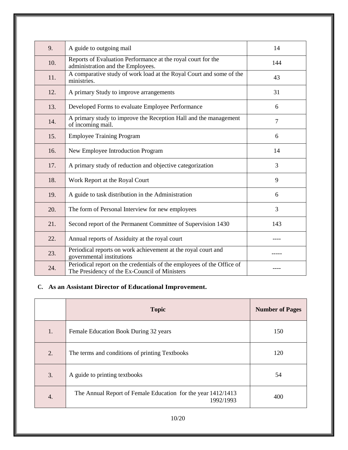| 9.  | A guide to outgoing mail                                                                                                | 14  |
|-----|-------------------------------------------------------------------------------------------------------------------------|-----|
| 10. | Reports of Evaluation Performance at the royal court for the<br>administration and the Employees.                       | 144 |
| 11. | A comparative study of work load at the Royal Court and some of the<br>ministries.                                      | 43  |
| 12. | A primary Study to improve arrangements                                                                                 | 31  |
| 13. | Developed Forms to evaluate Employee Performance                                                                        | 6   |
| 14. | A primary study to improve the Reception Hall and the management<br>of incoming mail.                                   | 7   |
| 15. | <b>Employee Training Program</b>                                                                                        | 6   |
| 16. | New Employee Introduction Program                                                                                       | 14  |
| 17. | A primary study of reduction and objective categorization                                                               | 3   |
| 18. | Work Report at the Royal Court                                                                                          | 9   |
| 19. | A guide to task distribution in the Administration                                                                      | 6   |
| 20. | The form of Personal Interview for new employees                                                                        | 3   |
| 21. | Second report of the Permanent Committee of Supervision 1430                                                            | 143 |
| 22. | Annual reports of Assiduity at the royal court                                                                          |     |
| 23. | Periodical reports on work achievement at the royal court and<br>governmental institutions                              |     |
| 24. | Periodical report on the credentials of the employees of the Office of<br>The Presidency of the Ex-Council of Ministers |     |

### **C. As an Assistant Director of Educational Improvement.**

|    | <b>Topic</b>                                                              | <b>Number of Pages</b> |
|----|---------------------------------------------------------------------------|------------------------|
| 1. | Female Education Book During 32 years                                     | 150                    |
| 2. | The terms and conditions of printing Textbooks                            | 120                    |
| 3. | A guide to printing textbooks                                             | 54                     |
| 4. | The Annual Report of Female Education for the year 1412/1413<br>1992/1993 | 400                    |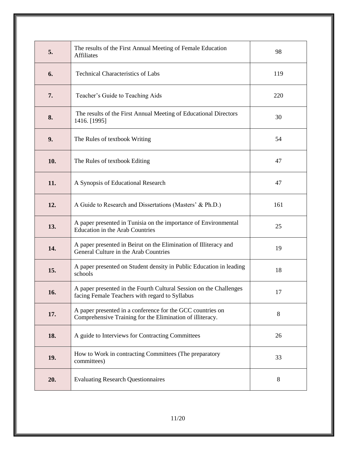| 5.  | The results of the First Annual Meeting of Female Education<br><b>Affiliates</b>                                        | 98  |
|-----|-------------------------------------------------------------------------------------------------------------------------|-----|
| 6.  | <b>Technical Characteristics of Labs</b>                                                                                | 119 |
| 7.  | Teacher's Guide to Teaching Aids                                                                                        | 220 |
| 8.  | The results of the First Annual Meeting of Educational Directors<br>1416. [1995]                                        | 30  |
| 9.  | The Rules of textbook Writing                                                                                           | 54  |
| 10. | The Rules of textbook Editing                                                                                           | 47  |
| 11. | A Synopsis of Educational Research                                                                                      | 47  |
| 12. | A Guide to Research and Dissertations (Masters' & Ph.D.)                                                                | 161 |
| 13. | A paper presented in Tunisia on the importance of Environmental<br><b>Education in the Arab Countries</b>               | 25  |
| 14. | A paper presented in Beirut on the Elimination of Illiteracy and<br>General Culture in the Arab Countries               | 19  |
| 15. | A paper presented on Student density in Public Education in leading<br>schools                                          | 18  |
| 16. | A paper presented in the Fourth Cultural Session on the Challenges<br>facing Female Teachers with regard to Syllabus    | 17  |
| 17. | A paper presented in a conference for the GCC countries on<br>Comprehensive Training for the Elimination of illiteracy. | 8   |
| 18. | A guide to Interviews for Contracting Committees                                                                        | 26  |
| 19. | How to Work in contracting Committees (The preparatory<br>committees)                                                   | 33  |
| 20. | <b>Evaluating Research Questionnaires</b>                                                                               | 8   |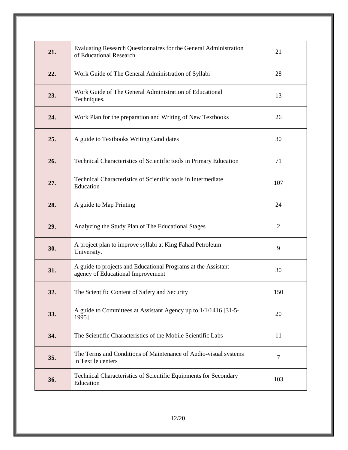| 21. | Evaluating Research Questionnaires for the General Administration<br>of Educational Research       | 21             |
|-----|----------------------------------------------------------------------------------------------------|----------------|
| 22. | Work Guide of The General Administration of Syllabi                                                | 28             |
| 23. | Work Guide of The General Administration of Educational<br>Techniques.                             | 13             |
| 24. | Work Plan for the preparation and Writing of New Textbooks                                         | 26             |
| 25. | A guide to Textbooks Writing Candidates                                                            | 30             |
| 26. | Technical Characteristics of Scientific tools in Primary Education                                 | 71             |
| 27. | Technical Characteristics of Scientific tools in Intermediate<br>Education                         | 107            |
| 28. | A guide to Map Printing                                                                            | 24             |
| 29. | Analyzing the Study Plan of The Educational Stages                                                 | $\overline{2}$ |
| 30. | A project plan to improve syllabi at King Fahad Petroleum<br>University.                           | 9              |
| 31. | A guide to projects and Educational Programs at the Assistant<br>agency of Educational Improvement | 30             |
| 32. | The Scientific Content of Safety and Security                                                      | 150            |
| 33. | A guide to Committees at Assistant Agency up to 1/1/1416 [31-5-<br>1995]                           | 20             |
| 34. | The Scientific Characteristics of the Mobile Scientific Labs                                       | 11             |
| 35. | The Terms and Conditions of Maintenance of Audio-visual systems<br>in Textile centers              | 7              |
| 36. | Technical Characteristics of Scientific Equipments for Secondary<br>Education                      | 103            |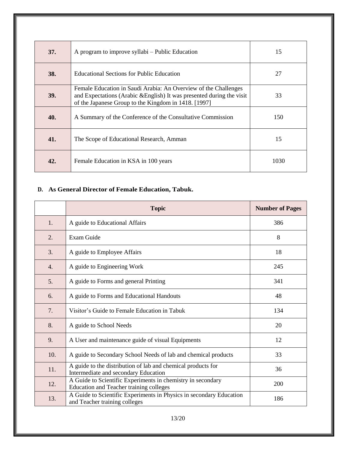| 37. | A program to improve syllabi – Public Education                                                                                                                                                  | 15   |
|-----|--------------------------------------------------------------------------------------------------------------------------------------------------------------------------------------------------|------|
| 38. | Educational Sections for Public Education                                                                                                                                                        | 27   |
| 39. | Female Education in Saudi Arabia: An Overview of the Challenges<br>and Expectations (Arabic & English) It was presented during the visit<br>of the Japanese Group to the Kingdom in 1418. [1997] | 33   |
| 40. | A Summary of the Conference of the Consultative Commission                                                                                                                                       | 150  |
| 41. | The Scope of Educational Research, Amman                                                                                                                                                         | 15   |
| 42. | Female Education in KSA in 100 years                                                                                                                                                             | 1030 |

### **D. As General Director of Female Education, Tabuk.**

|                  | <b>Topic</b>                                                                                                  | <b>Number of Pages</b> |
|------------------|---------------------------------------------------------------------------------------------------------------|------------------------|
| 1.               | A guide to Educational Affairs                                                                                | 386                    |
| $\overline{2}$ . | Exam Guide                                                                                                    | 8                      |
| 3.               | A guide to Employee Affairs                                                                                   | 18                     |
| $\overline{4}$ . | A guide to Engineering Work                                                                                   | 245                    |
| 5.               | A guide to Forms and general Printing                                                                         | 341                    |
| 6.               | A guide to Forms and Educational Handouts                                                                     | 48                     |
| 7.               | Visitor's Guide to Female Education in Tabuk                                                                  | 134                    |
| 8.               | A guide to School Needs                                                                                       | 20                     |
| 9.               | A User and maintenance guide of visual Equipments                                                             | 12                     |
| 10.              | A guide to Secondary School Needs of lab and chemical products                                                | 33                     |
| 11.              | A guide to the distribution of lab and chemical products for<br>Intermediate and secondary Education          | 36                     |
| 12.              | A Guide to Scientific Experiments in chemistry in secondary<br><b>Education and Teacher training colleges</b> | 200                    |
| 13.              | A Guide to Scientific Experiments in Physics in secondary Education<br>and Teacher training colleges          | 186                    |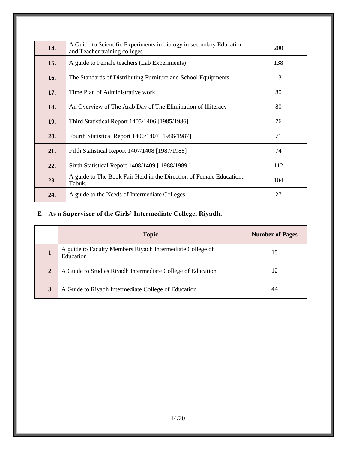| 14. | A Guide to Scientific Experiments in biology in secondary Education<br>and Teacher training colleges | <b>200</b> |
|-----|------------------------------------------------------------------------------------------------------|------------|
| 15. | A guide to Female teachers (Lab Experiments)                                                         | 138        |
| 16. | The Standards of Distributing Furniture and School Equipments                                        | 13         |
| 17. | Time Plan of Administrative work                                                                     | 80         |
| 18. | An Overview of The Arab Day of The Elimination of Illiteracy                                         | 80         |
| 19. | Third Statistical Report 1405/1406 [1985/1986]                                                       | 76         |
| 20. | Fourth Statistical Report 1406/1407 [1986/1987]                                                      | 71         |
| 21. | Fifth Statistical Report 1407/1408 [1987/1988]                                                       | 74         |
| 22. | Sixth Statistical Report 1408/1409 [ 1988/1989 ]                                                     | 112        |
| 23. | A guide to The Book Fair Held in the Direction of Female Education,<br>Tabuk.                        | 104        |
| 24. | A guide to the Needs of Intermediate Colleges                                                        | 27         |

### **E. As a Supervisor of the Girls' Intermediate College, Riyadh.**

|    | <b>Topic</b>                                                           | <b>Number of Pages</b> |
|----|------------------------------------------------------------------------|------------------------|
| 1. | A guide to Faculty Members Riyadh Intermediate College of<br>Education | 15                     |
| 2. | A Guide to Studies Riyadh Intermediate College of Education            | 12                     |
| 3. | A Guide to Riyadh Intermediate College of Education                    | 44                     |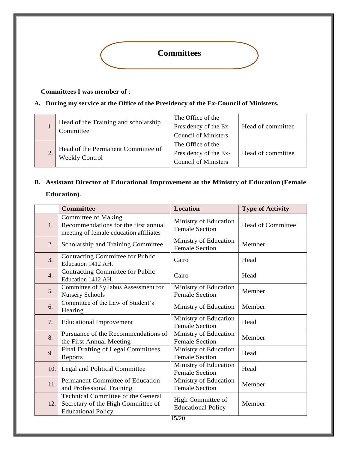

### **Committees I was member of** :

### **A. During my service at the Office of the Presidency of the Ex-Council of Ministers.**

| $\cdot$ | Head of the Training and scholarship<br>Committee           | The Office of the<br>Presidency of the Ex-<br><b>Council of Ministers</b> | Head of committee |
|---------|-------------------------------------------------------------|---------------------------------------------------------------------------|-------------------|
| ◠       | Head of the Permanent Committee of<br><b>Weekly Control</b> | The Office of the<br>Presidency of the Ex-<br><b>Council of Ministers</b> | Head of committee |

### **B. Assistant Director of Educational Improvement at the Ministry of Education (Female**

### **Education)**.

|                  | <b>Committee</b>                                                   | <b>Location</b>                                | <b>Type of Activity</b>  |  |
|------------------|--------------------------------------------------------------------|------------------------------------------------|--------------------------|--|
|                  |                                                                    |                                                |                          |  |
| 1.               | <b>Committee of Making</b><br>Recommendations for the first annual | Ministry of Education                          | <b>Head of Committee</b> |  |
|                  |                                                                    | <b>Female Section</b>                          |                          |  |
|                  | meeting of female education affiliates                             |                                                |                          |  |
| 2.               | Scholarship and Training Committee                                 | Ministry of Education<br><b>Female Section</b> | Member                   |  |
|                  |                                                                    |                                                |                          |  |
| 3.               | <b>Contracting Committee for Public</b><br>Education 1412 AH.      | Cairo<br>Head                                  |                          |  |
|                  |                                                                    |                                                |                          |  |
| $\overline{4}$ . | <b>Contracting Committee for Public</b>                            | Cairo                                          | Head                     |  |
|                  | Education 1412 AH.                                                 |                                                |                          |  |
| 5.               | Committee of Syllabus Assessment for                               | Ministry of Education                          | Member                   |  |
|                  | <b>Nursery Schools</b>                                             | <b>Female Section</b>                          |                          |  |
| 6.               | Committee of the Law of Student's                                  | Ministry of Education                          | Member                   |  |
|                  | Hearing                                                            |                                                |                          |  |
| 7.               | <b>Educational Improvement</b>                                     | Ministry of Education                          | Head                     |  |
|                  |                                                                    | <b>Female Section</b>                          |                          |  |
| 8.               | Pursuance of the Recommendations of                                | Ministry of Education                          | Member                   |  |
|                  | the First Annual Meeting                                           | <b>Female Section</b>                          |                          |  |
| 9.               | Final Drafting of Legal Committees                                 | Ministry of Education                          | Head                     |  |
|                  | Reports                                                            | <b>Female Section</b>                          |                          |  |
| 10.              | Legal and Political Committee                                      | Ministry of Education                          | Head                     |  |
|                  |                                                                    | <b>Female Section</b>                          |                          |  |
| 11.              | Permanent Committee of Education                                   | Ministry of Education                          | Member                   |  |
|                  | and Professional Training                                          | <b>Female Section</b>                          |                          |  |
|                  | <b>Technical Committee of the General</b>                          | High Committee of                              |                          |  |
| 12.              | Secretary of the High Committee of                                 | <b>Educational Policy</b>                      | Member                   |  |
|                  | <b>Educational Policy</b>                                          |                                                |                          |  |
|                  |                                                                    | 15/20                                          |                          |  |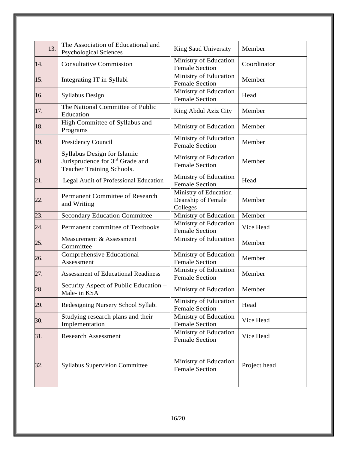| 13. | The Association of Educational and<br><b>Psychological Sciences</b>                                     | King Saud University                                    | Member       |
|-----|---------------------------------------------------------------------------------------------------------|---------------------------------------------------------|--------------|
| 14. | <b>Consultative Commission</b>                                                                          | Ministry of Education<br><b>Female Section</b>          | Coordinator  |
| 15. | Integrating IT in Syllabi                                                                               | Ministry of Education<br><b>Female Section</b>          | Member       |
| 16. | <b>Syllabus Design</b>                                                                                  | Ministry of Education<br><b>Female Section</b>          | Head         |
| 17. | The National Committee of Public<br>Education                                                           | King Abdul Aziz City                                    | Member       |
| 18. | High Committee of Syllabus and<br>Programs                                                              | Ministry of Education                                   | Member       |
| 19. | Presidency Council                                                                                      | Ministry of Education<br><b>Female Section</b>          | Member       |
| 20. | Syllabus Design for Islamic<br>Jurisprudence for 3 <sup>rd</sup> Grade and<br>Teacher Training Schools. | Ministry of Education<br><b>Female Section</b>          | Member       |
| 21. | Legal Audit of Professional Education                                                                   | Ministry of Education<br><b>Female Section</b>          | Head         |
| 22. | Permanent Committee of Research<br>and Writing                                                          | Ministry of Education<br>Deanship of Female<br>Colleges | Member       |
| 23. | <b>Secondary Education Committee</b>                                                                    | Ministry of Education                                   | Member       |
| 24. | Permanent committee of Textbooks                                                                        | Ministry of Education<br><b>Female Section</b>          | Vice Head    |
| 25. | Measurement & Assessment<br>Committee                                                                   | Ministry of Education                                   | Member       |
| 26. | Comprehensive Educational<br>Assessment                                                                 | Ministry of Education<br><b>Female Section</b>          | Member       |
| 27. | <b>Assessment of Educational Readiness</b>                                                              | Ministry of Education<br><b>Female Section</b>          | Member       |
| 28. | Security Aspect of Public Education -<br>Male- in KSA                                                   | Ministry of Education                                   | Member       |
| 29. | Redesigning Nursery School Syllabi                                                                      | Ministry of Education<br><b>Female Section</b>          | Head         |
| 30. | Studying research plans and their<br>Implementation                                                     | Ministry of Education<br><b>Female Section</b>          | Vice Head    |
| 31. | <b>Research Assessment</b>                                                                              | Ministry of Education<br><b>Female Section</b>          | Vice Head    |
| 32. | <b>Syllabus Supervision Committee</b>                                                                   | Ministry of Education<br><b>Female Section</b>          | Project head |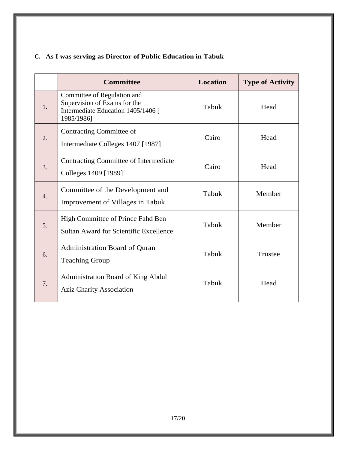### **C. As I was serving as Director of Public Education in Tabuk**

|                  | <b>Committee</b>                                                                                                | <b>Location</b> | <b>Type of Activity</b> |
|------------------|-----------------------------------------------------------------------------------------------------------------|-----------------|-------------------------|
| 1.               | Committee of Regulation and<br>Supervision of Exams for the<br>Intermediate Education 1405/1406 [<br>1985/1986] | Tabuk           | Head                    |
| $\overline{2}$ . | Contracting Committee of<br>Intermediate Colleges 1407 [1987]                                                   | Cairo           | Head                    |
| 3.               | Contracting Committee of Intermediate<br>Colleges 1409 [1989]                                                   | Cairo           | Head                    |
| $\overline{4}$ . | Committee of the Development and<br>Improvement of Villages in Tabuk                                            | Tabuk           | Member                  |
| 5 <sub>1</sub>   | High Committee of Prince Fahd Ben<br><b>Sultan Award for Scientific Excellence</b>                              | Tabuk           | Member                  |
| 6.               | Administration Board of Quran<br><b>Teaching Group</b>                                                          | Tabuk           | Trustee                 |
| 7.               | Administration Board of King Abdul<br><b>Aziz Charity Association</b>                                           | Tabuk<br>Head   |                         |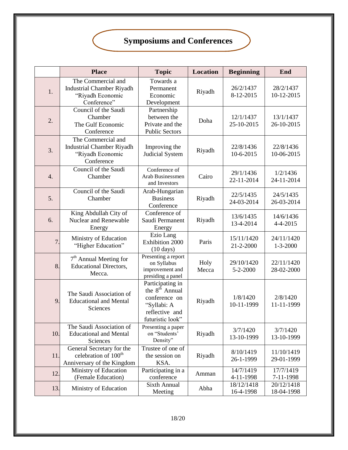# **Symposiums and Conferences**

|                  | <b>Place</b>                                                                                | <b>Topic</b>                                                                                                         | <b>Location</b> | <b>Beginning</b>        | End                          |
|------------------|---------------------------------------------------------------------------------------------|----------------------------------------------------------------------------------------------------------------------|-----------------|-------------------------|------------------------------|
| 1.               | The Commercial and<br><b>Industrial Chamber Riyadh</b><br>"Riyadh Economic<br>Conference"   | Towards a<br>Permanent<br>Economic<br>Development                                                                    | Riyadh          | 26/2/1437<br>8-12-2015  | 28/2/1437<br>10-12-2015      |
| 2.               | Council of the Saudi<br>Chamber<br>The Gulf Economic<br>Conference                          | Partnership<br>between the<br>Private and the<br><b>Public Sectors</b>                                               | Doha            | 12/1/1437<br>25-10-2015 | 13/1/1437<br>26-10-2015      |
| 3.               | The Commercial and<br><b>Industrial Chamber Riyadh</b><br>"Riyadh Economic<br>Conference    | Improving the<br>Judicial System                                                                                     | Riyadh          | 22/8/1436<br>10-6-2015  | 22/8/1436<br>10-06-2015      |
| 4.               | Council of the Saudi<br>Chamber                                                             | Conference of<br>Arab Businessmen<br>and Investors                                                                   | Cairo           | 29/1/1436<br>22-11-2014 | 1/2/1436<br>24-11-2014       |
| 5.               | Council of the Saudi<br>Chamber                                                             | Arab-Hungarian<br><b>Business</b><br>Conference                                                                      | Riyadh          | 22/5/1435<br>24-03-2014 | 24/5/1435<br>26-03-2014      |
| 6.               | King Abdullah City of<br><b>Nuclear and Renewable</b><br>Energy                             | Conference of<br>Saudi Permanent<br>Energy                                                                           | Riyadh          | 13/6/1435<br>13-4-2014  | 14/6/1436<br>4-4-2015        |
| $\overline{7}$ . | Ministry of Education<br>"Higher Education"                                                 | Ezio Lang<br><b>Exhibition 2000</b><br>$(10 \text{ days})$                                                           | Paris           | 15/11/1420<br>21-2-2000 | 24/11/1420<br>$1 - 3 - 2000$ |
| 8.               | $7th$ Annual Meeting for<br><b>Educational Directors,</b><br>Mecca.                         | Presenting a report<br>on Syllabus<br>improvement and<br>presiding a panel                                           | Holy<br>Mecca   | 29/10/1420<br>5-2-2000  | 22/11/1420<br>28-02-2000     |
| 9.               | The Saudi Association of<br><b>Educational and Mental</b><br>Sciences                       | Participating in<br>the 8 <sup>th</sup> Annual<br>conference on<br>"Syllabi: A<br>reflective and<br>futuristic look" | Riyadh          | 1/8/1420<br>10-11-1999  | 2/8/1420<br>11-11-1999       |
| 10.              | The Saudi Association of<br><b>Educational and Mental</b><br>Sciences                       | Presenting a paper<br>on "Students"<br>Density"                                                                      | Riyadh          | 3/7/1420<br>13-10-1999  | 3/7/1420<br>13-10-1999       |
| 11.              | General Secretary for the<br>celebration of 100 <sup>th</sup><br>Anniversary of the Kingdom | Trustee of one of<br>the session on<br>KSA.                                                                          | Riyadh          | 8/10/1419<br>26-1-1999  | 11/10/1419<br>29-01-1999     |
| 12.              | Ministry of Education<br>(Female Education)                                                 | Participating in a<br>conference                                                                                     | Amman           | 14/7/1419<br>4-11-1998  | 17/7/1419<br>7-11-1998       |
| 13.              | Ministry of Education                                                                       | <b>Sixth Annual</b><br>Meeting                                                                                       | Abha            | 18/12/1418<br>16-4-1998 | 20/12/1418<br>18-04-1998     |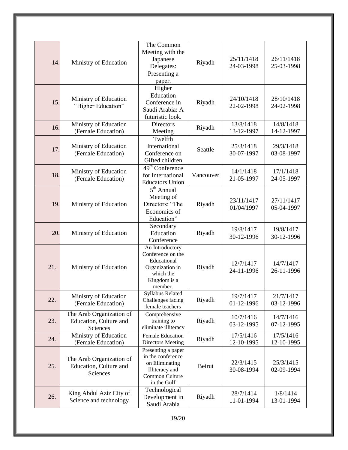| 14. | Ministry of Education                                          | The Common<br>Meeting with the<br>Japanese<br>Delegates:<br>Presenting a<br>paper.                             | Riyadh    | 25/11/1418<br>24-03-1998 | 26/11/1418<br>25-03-1998 |
|-----|----------------------------------------------------------------|----------------------------------------------------------------------------------------------------------------|-----------|--------------------------|--------------------------|
| 15. | Ministry of Education<br>"Higher Education"                    | Higher<br>Education<br>Conference in<br>Saudi Arabia: A<br>futuristic look.                                    | Riyadh    | 24/10/1418<br>22-02-1998 | 28/10/1418<br>24-02-1998 |
| 16. | Ministry of Education<br>(Female Education)                    | <b>Directors</b><br>Meeting                                                                                    | Riyadh    | 13/8/1418<br>13-12-1997  | 14/8/1418<br>14-12-1997  |
| 17. | Ministry of Education<br>(Female Education)                    | Twelfth<br>International<br>Conference on<br>Gifted children                                                   | Seattle   | 25/3/1418<br>30-07-1997  | 29/3/1418<br>03-08-1997  |
| 18. | Ministry of Education<br>(Female Education)                    | 49 <sup>th</sup> Conference<br>for International<br><b>Educators Union</b>                                     | Vancouver | 14/1/1418<br>21-05-1997  | 17/1/1418<br>24-05-1997  |
| 19. | Ministry of Education                                          | $5th$ Annual<br>Meeting of<br>Directors: "The<br>Economics of<br>Education"                                    | Riyadh    | 23/11/1417<br>01/04/1997 | 27/11/1417<br>05-04-1997 |
| 20. | Ministry of Education                                          | Secondary<br>Education<br>Conference                                                                           | Riyadh    | 19/8/1417<br>30-12-1996  | 19/8/1417<br>30-12-1996  |
| 21. | Ministry of Education                                          | An Introductory<br>Conference on the<br>Educational<br>Organization in<br>which the<br>Kingdom is a<br>member. | Riyadh    | 12/7/1417<br>24-11-1996  | 14/7/1417<br>26-11-1996  |
| 22. | Ministry of Education<br>(Female Education)                    | Syllabus Related<br>Challenges facing<br>female teachers                                                       | Riyadh    | 19/7/1417<br>01-12-1996  | 21/7/1417<br>03-12-1996  |
| 23. | The Arab Organization of<br>Education, Culture and<br>Sciences | Comprehensive<br>training to<br>eliminate illiteracy                                                           | Riyadh    | 10/7/1416<br>03-12-1995  | 14/7/1416<br>07-12-1995  |
| 24. | Ministry of Education<br>(Female Education)                    | <b>Female Education</b><br>Directors Meeting                                                                   | Riyadh    | 17/5/1416<br>12-10-1995  | 17/5/1416<br>12-10-1995  |
| 25. | The Arab Organization of<br>Education, Culture and<br>Sciences | Presenting a paper<br>in the conference<br>on Eliminating<br>Illiteracy and<br>Common Culture<br>in the Gulf   | Beirut    | 22/3/1415<br>30-08-1994  | 25/3/1415<br>02-09-1994  |
| 26. | King Abdul Aziz City of<br>Science and technology              | Technological<br>Development in<br>Saudi Arabia                                                                | Riyadh    | 28/7/1414<br>11-01-1994  | 1/8/1414<br>13-01-1994   |